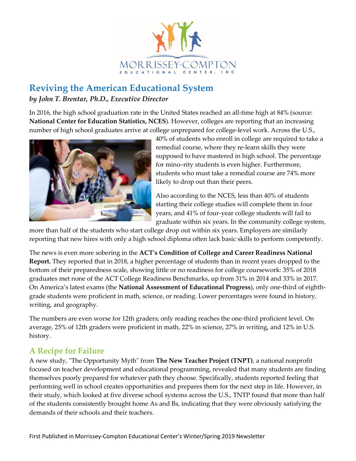

## **Reviving the American Educational System** *by John T. Brentar, Ph.D., Executive Director*

In 2016, the high school graduation rate in the United States reached an all-time high at 84% (source: **National Center for Education Statistics, NCES**). However, colleges are reporting that an increasing number of high school graduates arrive at college unprepared for college-level work. Across the U.S.,



40% of students who enroll in college are required to take a remedial course, where they re-learn skills they were supposed to have mastered in high school. The percentage for mino–rity students is even higher. Furthermore, students who must take a remedial course are 74% more likely to drop out than their peers.

Also according to the NCES, less than 40% of students starting their college studies will complete them in four years, and 41% of four-year college students will fail to graduate within six years. In the community college system,

more than half of the students who start college drop out within six years. Employers are similarly reporting that new hires with only a high school diploma often lack basic skills to perform competently.

The news is even more sobering in the **ACT's Condition of College and Career Readiness National Report.** They reported that in 2018, a higher percentage of students than in recent years dropped to the bottom of their preparedness scale, showing little or no readiness for college coursework: 35% of 2018 graduates met none of the ACT College Readiness Benchmarks, up from 31% in 2014 and 33% in 2017. On America's latest exams (the **National Assessment of Educational Progress**), only one-third of eighthgrade students were proficient in math, science, or reading. Lower percentages were found in history, writing, and geography.

The numbers are even worse for 12th graders; only reading reaches the one-third proficient level. On average, 25% of 12th graders were proficient in math, 22% in science, 27% in writing, and 12% in U.S. history.

### **A Recipe for Failure**

A new study, "The Opportunity Myth" from **The New Teacher Project (TNPT)**, a national nonprofit focused on teacher development and educational programming, revealed that many students are finding themselves poorly prepared for whatever path they choose. Specifically, students reported feeling that performing well in school creates opportunities and prepares them for the next step in life. However, in their study, which looked at five diverse school systems across the U.S., TNTP found that more than half of the students consistently brought home As and Bs, indicating that they were obviously satisfying the demands of their schools and their teachers.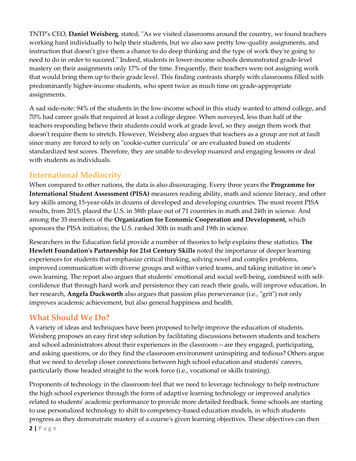TNTP's CEO, **Daniel Weisberg**, stated, "As we visited classrooms around the country, we found teachers working hard individually to help their students, but we also saw pretty low-quality assignments, and instruction that doesn't give them a chance to do deep thinking and the type of work they're going to need to do in order to succeed." Indeed, students in lower-income schools demonstrated grade-level mastery on their assignments only 17% of the time. Frequently, their teachers were not assigning work that would bring them up to their grade level. This finding contrasts sharply with classrooms filled with predominantly higher-income students, who spent twice as much time on grade-appropriate assignments.

A sad side-note: 94% of the students in the low-income school in this study wanted to attend college, and 70% had career goals that required at least a college degree. When surveyed, less than half of the teachers responding believe their students could work at grade level, so they assign them work that doesn't require them to stretch. However, Weisberg also argues that teachers as a group are not at fault since many are forced to rely on "cookie-cutter curricula" or are evaluated based on students' standardized test scores. Therefore, they are unable to develop nuanced and engaging lessons or deal with students as individuals.

### **International Mediocrity**

When compared to other nations, the data is also discouraging. Every three years the **Programme for International Student Assessment (PISA)** measures reading ability, math and science literacy, and other key skills among 15-year-olds in dozens of developed and developing countries. The most recent PISA results, from 2015, placed the U.S. in 38th place out of 71 countries in math and 24th in science. And among the 35 members of the **Organization for Economic Cooperation and Development,** which sponsors the PISA initiative, the U.S. ranked 30th in math and 19th in science.

Researchers in the Education field provide a number of theories to help explains these statistics. **The Hewlett Foundation's Partnership for 21st Century Skills** noted the importance of deeper learning experiences for students that emphasize critical thinking, solving novel and complex problems, improved communication with diverse groups and within varied teams, and taking initiative in one's own learning. The report also argues that students' emotional and social well-being, combined with selfconfidence that through hard work and persistence they can reach their goals, will improve education. In her research, **Angela Duckworth** also argues that passion plus perseverance (i.e., "grit") not only improves academic achievement, but also general happiness and health.

### **What Should We Do?**

A variety of ideas and techniques have been proposed to help improve the education of students. Weisberg proposes an easy first step solution by facilitating discussions between students and teachers and school administrators about their experiences in the classroom—are they engaged, participating, and asking questions, or do they find the classroom environment uninspiring and tedious? Others argue that we need to develop closer connections between high school education and students' careers, particularly those headed straight to the work force (i.e., vocational or skills training).

Proponents of technology in the classroom feel that we need to leverage technology to help restructure the high school experience through the form of adaptive learning technology or improved analytics related to students' academic performance to provide more detailed feedback. Some schools are starting to use personalized technology to shift to competency-based education models, in which students progress as they demonstrate mastery of a course's given learning objectives. These objectives can then